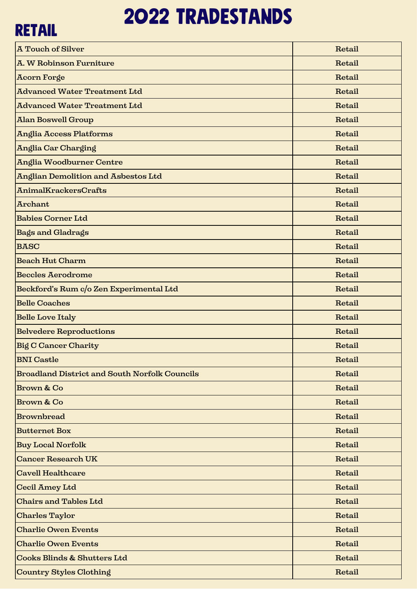# 2022 tradestands

| <b>RETAIL</b>                                        |        |  |
|------------------------------------------------------|--------|--|
| <b>A Touch of Silver</b>                             | Retail |  |
| A. W Robinson Furniture                              | Retail |  |
| <b>Acorn Forge</b>                                   | Retail |  |
| <b>Advanced Water Treatment Ltd</b>                  | Retail |  |
| <b>Advanced Water Treatment Ltd</b>                  | Retail |  |
| <b>Alan Boswell Group</b>                            | Retail |  |
| <b>Anglia Access Platforms</b>                       | Retail |  |
| Anglia Car Charging                                  | Retail |  |
| <b>Anglia Woodburner Centre</b>                      | Retail |  |
| <b>Anglian Demolition and Asbestos Ltd</b>           | Retail |  |
| <b>AnimalKrackersCrafts</b>                          | Retail |  |
| <b>Archant</b>                                       | Retail |  |
| <b>Babies Corner Ltd</b>                             | Retail |  |
| <b>Bags and Gladrags</b>                             | Retail |  |
| <b>BASC</b>                                          | Retail |  |
| <b>Beach Hut Charm</b>                               | Retail |  |
| <b>Beccles Aerodrome</b>                             | Retail |  |
| Beckford's Rum c/o Zen Experimental Ltd              | Retail |  |
| <b>Belle Coaches</b>                                 | Retail |  |
| <b>Belle Love Italy</b>                              | Retail |  |
| <b>Belvedere Reproductions</b>                       | Retail |  |
| <b>Big C Cancer Charity</b>                          | Retail |  |
| <b>BNI</b> Castle                                    | Retail |  |
| <b>Broadland District and South Norfolk Councils</b> | Retail |  |
| <b>Brown &amp; Co</b>                                | Retail |  |
| Brown & Co                                           | Retail |  |
| <b>Brownbread</b>                                    | Retail |  |
| <b>Butternet Box</b>                                 | Retail |  |
| <b>Buy Local Norfolk</b>                             | Retail |  |
| <b>Cancer Research UK</b>                            | Retail |  |
| <b>Cavell Healthcare</b>                             | Retail |  |
| Cecil Amey Ltd                                       | Retail |  |
| <b>Chairs and Tables Ltd</b>                         | Retail |  |
| <b>Charles Taylor</b>                                | Retail |  |
| <b>Charlie Owen Events</b>                           | Retail |  |
| <b>Charlie Owen Events</b>                           | Retail |  |
| Cooks Blinds & Shutters Ltd                          | Retail |  |
| Country Styles Clothing                              | Retail |  |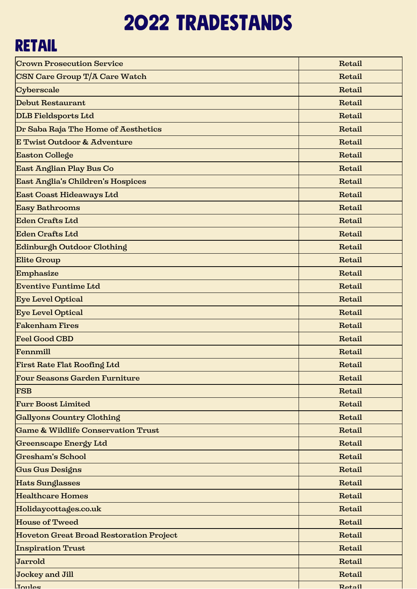# 2022 tradestands

#### **RETAIL**

| <b>Crown Prosecution Service</b>              | Retail |
|-----------------------------------------------|--------|
| <b>CSN Care Group T/A Care Watch</b>          | Retail |
| Cyberscale                                    | Retail |
| Debut Restaurant                              | Retail |
| DLB Fieldsports Ltd                           | Retail |
| Dr Saba Raja The Home of Aesthetics           | Retail |
| E Twist Outdoor & Adventure                   | Retail |
| Easton College                                | Retail |
| East Anglian Play Bus Co                      | Retail |
| East Anglia's Children's Hospices             | Retail |
| East Coast Hideaways Ltd                      | Retail |
| Easy Bathrooms                                | Retail |
| Eden Crafts Ltd                               | Retail |
| <b>Eden Crafts Ltd</b>                        | Retail |
| Edinburgh Outdoor Clothing                    | Retail |
| <b>Elite Group</b>                            | Retail |
| Emphasize                                     | Retail |
| <b>Eventive Funtime Ltd</b>                   | Retail |
| <b>Eye Level Optical</b>                      | Retail |
| <b>Eye Level Optical</b>                      | Retail |
| <b>Fakenham Fires</b>                         | Retail |
| <b>Feel Good CBD</b>                          | Retail |
| Fennmill                                      | Retail |
| First Rate Flat Roofing Ltd                   | Retail |
| <b>Four Seasons Garden Furniture</b>          | Retail |
| FSB                                           | Retail |
| <b>Furr Boost Limited</b>                     | Retail |
| <b>Gallyons Country Clothing</b>              | Retail |
| <b>Game &amp; Wildlife Conservation Trust</b> | Retail |
| Greenscape Energy Ltd                         | Retail |
| Gresham's School                              | Retail |
| Gus Gus Designs                               | Retail |
| Hats Sunglasses                               | Retail |
| <b>Healthcare Homes</b>                       | Retail |
| Holidaycottages.co.uk                         | Retail |
| House of Tweed                                | Retail |
| Hoveton Great Broad Restoration Project       | Retail |
| <b>Inspiration Trust</b>                      | Retail |
| Jarrold                                       | Retail |
| Jockey and Jill                               | Retail |
| Joules                                        | Retail |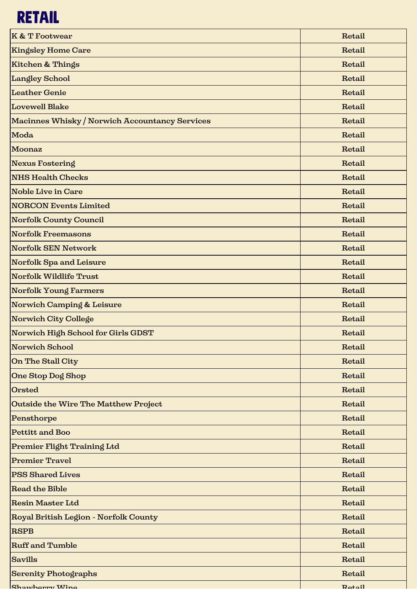### **RETAIL**

| <b>K &amp; T Footwear</b>                      | Retail        |
|------------------------------------------------|---------------|
| <b>Kingsley Home Care</b>                      | Retail        |
| <b>Kitchen &amp; Things</b>                    | Retail        |
| <b>Langley School</b>                          | Retail        |
| <b>Leather Genie</b>                           | Retail        |
| Lovewell Blake                                 | Retail        |
| Macinnes Whisky / Norwich Accountancy Services | Retail        |
| Moda                                           | Retail        |
| Moonaz                                         | Retail        |
| Nexus Fostering                                | Retail        |
| <b>NHS Health Checks</b>                       | Retail        |
| <b>Noble Live in Care</b>                      | Retail        |
| <b>NORCON Events Limited</b>                   | Retail        |
| <b>Norfolk County Council</b>                  | Retail        |
| <b>Norfolk Freemasons</b>                      | Retail        |
| Norfolk SEN Network                            | Retail        |
| Norfolk Spa and Leisure                        | Retail        |
| <b>Norfolk Wildlife Trust</b>                  | Retail        |
| Norfolk Young Farmers                          | Retail        |
| Norwich Camping & Leisure                      | Retail        |
| Norwich City College                           | Retail        |
| Norwich High School for Girls GDST             | Retail        |
| Norwich School                                 | Retail        |
| On The Stall City                              | Retail        |
| One Stop Dog Shop                              | Retail        |
| Orsted                                         | Retail        |
| <b>Outside the Wire The Matthew Project</b>    | Retail        |
| Pensthorpe                                     | Retail        |
| <b>Pettitt and Boo</b>                         | Retail        |
| Premier Flight Training Ltd                    | Retail        |
| <b>Premier Travel</b>                          | Retail        |
| <b>PSS Shared Lives</b>                        | Retail        |
| <b>Read the Bible</b>                          | Retail        |
| <b>Resin Master Ltd</b>                        | Retail        |
| Royal British Legion - Norfolk County          | Retail        |
| RSPB                                           | Retail        |
| <b>Ruff</b> and Tumble                         | Retail        |
| Savills                                        | Retail        |
| <b>Serenity Photographs</b>                    | Retail        |
| Shawhorry Wine                                 | <b>Retail</b> |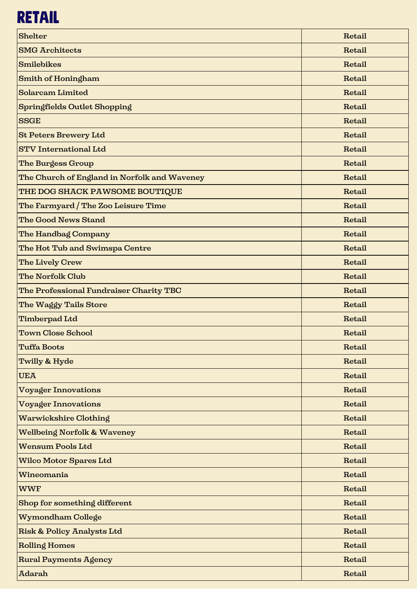### **RETAIL**

| Shelter                                      | Retail |
|----------------------------------------------|--------|
| <b>SMG Architects</b>                        | Retail |
| Smilebikes                                   | Retail |
| Smith of Honingham                           | Retail |
| Solarcam Limited                             | Retail |
| Springfields Outlet Shopping                 | Retail |
| <b>SSGE</b>                                  | Retail |
| <b>St Peters Brewery Ltd</b>                 | Retail |
| <b>STV</b> International Ltd                 | Retail |
| <b>The Burgess Group</b>                     | Retail |
| The Church of England in Norfolk and Waveney | Retail |
| THE DOG SHACK PAWSOME BOUTIQUE               | Retail |
| The Farmyard / The Zoo Leisure Time          | Retail |
| The Good News Stand                          | Retail |
| The Handbag Company                          | Retail |
| The Hot Tub and Swimspa Centre               | Retail |
| The Lively Crew                              | Retail |
| <b>The Norfolk Club</b>                      | Retail |
| The Professional Fundraiser Charity TBC      | Retail |
| The Waggy Tails Store                        | Retail |
| Timberpad Ltd                                | Retail |
| <b>Town Close School</b>                     | Retail |
| <b>Tuffa Boots</b>                           | Retail |
| Twilly & Hyde                                | Retail |
| <b>UEA</b>                                   | Retail |
| <b>Voyager Innovations</b>                   | Retail |
| <b>Voyager Innovations</b>                   | Retail |
| <b>Warwickshire Clothing</b>                 | Retail |
| <b>Wellbeing Norfolk &amp; Waveney</b>       | Retail |
| <b>Wensum Pools Ltd</b>                      | Retail |
| <b>Wilco Motor Spares Ltd</b>                | Retail |
| Wineomania                                   | Retail |
| <b>WWF</b>                                   | Retail |
| Shop for something different                 | Retail |
| Wymondham College                            | Retail |
| <b>Risk &amp; Policy Analysts Ltd</b>        | Retail |
| <b>Rolling Homes</b>                         | Retail |
| <b>Rural Payments Agency</b>                 | Retail |
| <b>Adarah</b>                                | Retail |